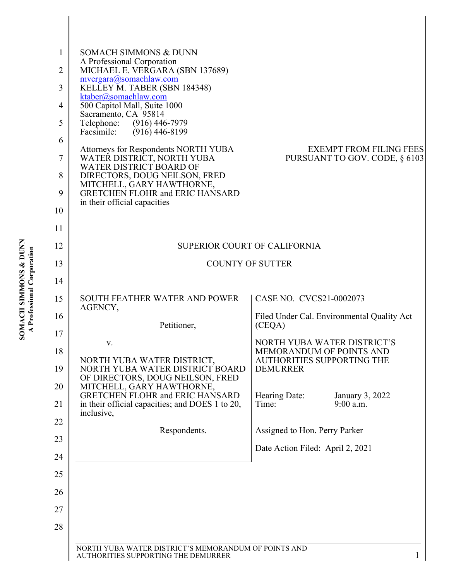| 1              | <b>SOMACH SIMMONS &amp; DUNN</b>                                    |                                                                 |
|----------------|---------------------------------------------------------------------|-----------------------------------------------------------------|
| $\overline{2}$ | A Professional Corporation<br>MICHAEL E. VERGARA (SBN 137689)       |                                                                 |
| 3              | mvergara@somachlaw.com<br>KELLEY M. TABER (SBN 184348)              |                                                                 |
| 4              | ktaber@somachlaw.com<br>500 Capitol Mall, Suite 1000                |                                                                 |
| 5              | Sacramento, CA 95814<br>Telephone: (916) 446-7979                   |                                                                 |
| 6              | Facsimile:<br>$(916)$ 446-8199                                      |                                                                 |
| 7              | Attorneys for Respondents NORTH YUBA<br>WATER DISTRICT, NORTH YUBA  | <b>EXEMPT FROM FILING FEES</b><br>PURSUANT TO GOV. CODE, § 6103 |
| 8              | WATER DISTRICT BOARD OF<br>DIRECTORS, DOUG NEILSON, FRED            |                                                                 |
| 9              | MITCHELL, GARY HAWTHORNE,<br><b>GRETCHEN FLOHR and ERIC HANSARD</b> |                                                                 |
| 10             | in their official capacities                                        |                                                                 |
| 11             |                                                                     |                                                                 |
| 12             | <b>SUPERIOR COURT OF CALIFORNIA</b>                                 |                                                                 |
|                |                                                                     |                                                                 |
| 13             | <b>COUNTY OF SUTTER</b>                                             |                                                                 |
| 14             |                                                                     |                                                                 |
| 15             | <b>SOUTH FEATHER WATER AND POWER</b><br>AGENCY,                     | CASE NO. CVCS21-0002073                                         |
| 16             | Petitioner,                                                         | Filed Under Cal. Environmental Quality Act<br>(CEQA)            |
| 17             | v.                                                                  | NORTH YUBA WATER DISTRICT'S                                     |
| 18             | NORTH YUBA WATER DISTRICT,                                          | MEMORANDUM OF POINTS AND<br>AUTHORITIES SUPPORTING THE          |
| 19             | NORTH YUBA WATER DISTRICT BOARD<br>OF DIRECTORS, DOUG NEILSON, FRED | <b>DEMURRER</b>                                                 |
| 20             | MITCHELL, GARY HAWTHORNE,<br><b>GRETCHEN FLOHR and ERIC HANSARD</b> | Hearing Date:<br>January 3, 2022                                |
| 21             | in their official capacities; and DOES 1 to 20,<br>inclusive,       | $9:00$ a.m.<br>Time:                                            |
| 22             | Respondents.                                                        | Assigned to Hon. Perry Parker                                   |
| 23             |                                                                     | Date Action Filed: April 2, 2021                                |
| 24             |                                                                     |                                                                 |
| 25             |                                                                     |                                                                 |
| 26             |                                                                     |                                                                 |
| 27             |                                                                     |                                                                 |
| 28             |                                                                     |                                                                 |
|                | NORTH YUBA WATER DISTRICT'S MEMORANDUM OF POINTS AND                |                                                                 |
|                | AUTHORITIES SUPPORTING THE DEMURRER                                 | $\mathbf{1}$                                                    |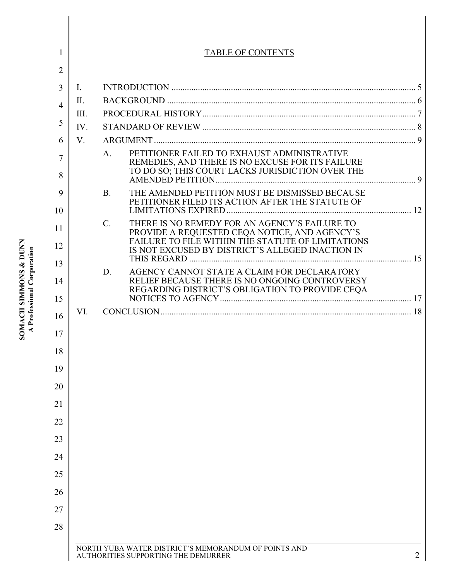| 1              |      | <b>TABLE OF CONTENTS</b>                                                                                         |   |
|----------------|------|------------------------------------------------------------------------------------------------------------------|---|
| $\overline{2}$ |      |                                                                                                                  |   |
| 3              | I.   |                                                                                                                  |   |
| $\overline{4}$ | II.  |                                                                                                                  |   |
|                | III. |                                                                                                                  |   |
| 5              | IV.  |                                                                                                                  |   |
| 6              | V.   |                                                                                                                  |   |
| 7<br>8         |      | PETITIONER FAILED TO EXHAUST ADMINISTRATIVE<br>A.<br>REMEDIES, AND THERE IS NO EXCUSE FOR ITS FAILURE            |   |
| 9              |      | THE AMENDED PETITION MUST BE DISMISSED BECAUSE<br><b>B.</b>                                                      |   |
| 10             |      | PETITIONER FILED ITS ACTION AFTER THE STATUTE OF                                                                 |   |
| 11             |      | THERE IS NO REMEDY FOR AN AGENCY'S FAILURE TO<br>$\mathbf{C}$ .<br>PROVIDE A REQUESTED CEQA NOTICE, AND AGENCY'S |   |
| 12             |      | FAILURE TO FILE WITHIN THE STATUTE OF LIMITATIONS<br>IS NOT EXCUSED BY DISTRICT'S ALLEGED INACTION IN            |   |
| 13             |      | AGENCY CANNOT STATE A CLAIM FOR DECLARATORY<br>D.                                                                |   |
| 14             |      | RELIEF BECAUSE THERE IS NO ONGOING CONTROVERSY<br>REGARDING DISTRICT'S OBLIGATION TO PROVIDE CEQA                |   |
| 15             |      |                                                                                                                  |   |
| 16             | VI.  |                                                                                                                  |   |
| 17             |      |                                                                                                                  |   |
| 18             |      |                                                                                                                  |   |
| 19             |      |                                                                                                                  |   |
| 20             |      |                                                                                                                  |   |
| 21             |      |                                                                                                                  |   |
| 22             |      |                                                                                                                  |   |
| 23             |      |                                                                                                                  |   |
| 24             |      |                                                                                                                  |   |
| 25             |      |                                                                                                                  |   |
| 26             |      |                                                                                                                  |   |
| 27             |      |                                                                                                                  |   |
|                |      |                                                                                                                  |   |
| 28             |      |                                                                                                                  |   |
|                |      | NORTH YUBA WATER DISTRICT'S MEMORANDUM OF POINTS AND<br>AUTHORITIES SUPPORTING THE DEMURRER                      | 2 |

# **SOMACH SIMMONS & DUNN**<br>A Professional Corporation **SOMACH SIMMONS & DUNN A Professional Corporation**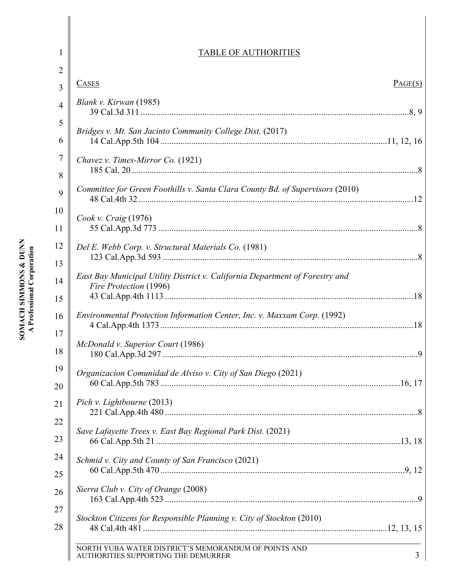## TABLE OF AUTHORITIES

| 2              |                                                                                                        |         |
|----------------|--------------------------------------------------------------------------------------------------------|---------|
| 3              | <b>CASES</b>                                                                                           | PAGE(S) |
| $\overline{4}$ | Blank v. Kirwan (1985)                                                                                 |         |
| 5              | Bridges v. Mt. San Jacinto Community College Dist. (2017)                                              |         |
| 6              |                                                                                                        |         |
| 7              | Chavez v. Times-Mirror Co. (1921)                                                                      |         |
| 8              |                                                                                                        |         |
| 9              | Committee for Green Foothills v. Santa Clara County Bd. of Supervisors (2010)                          |         |
| 10             | Cook v. Craig $(1976)$                                                                                 |         |
| 11             |                                                                                                        |         |
| 12             | Del E. Webb Corp. v. Structural Materials Co. (1981)                                                   |         |
| 13             |                                                                                                        |         |
| 14             | East Bay Municipal Utility District v. California Department of Forestry and<br>Fire Protection (1996) |         |
| 15             |                                                                                                        |         |
| 16             | Environmental Protection Information Center, Inc. v. Maxxam Corp. (1992)                               |         |
| 17<br>18       | McDonald v. Superior Court (1986)                                                                      |         |
| 19<br>20       | Organizacion Comunidad de Alviso v. City of San Diego (2021)                                           |         |
|                | Pich v. Lightbourne (2013)                                                                             |         |
| 21             |                                                                                                        |         |
| 22             | Save Lafayette Trees v. East Bay Regional Park Dist. (2021)                                            |         |
| 23             |                                                                                                        |         |
| 24             | Schmid v. City and County of San Francisco (2021)                                                      |         |
| 25             |                                                                                                        |         |
| 26             | Sierra Club v. City of Orange (2008)                                                                   |         |
| 27             |                                                                                                        |         |
| 28             | Stockton Citizens for Responsible Planning v. City of Stockton (2010)                                  |         |
|                | NORTH YUBA WATER DISTRICT'S MEMORANDUM OF POINTS AND                                                   | 3       |
|                | AUTHORITIES SUPPORTING THE DEMURRER                                                                    |         |

1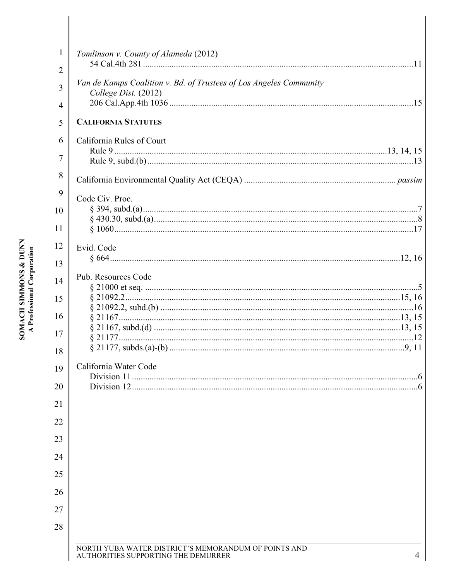| $\mathbf{1}$ | Tomlinson v. County of Alameda (2012)                                                            |
|--------------|--------------------------------------------------------------------------------------------------|
| 2            |                                                                                                  |
| 3            | Van de Kamps Coalition v. Bd. of Trustees of Los Angeles Community<br>College Dist. (2012)       |
| 4            |                                                                                                  |
| 5            | <b>CALIFORNIA STATUTES</b>                                                                       |
| 6            | California Rules of Court                                                                        |
| 7            |                                                                                                  |
| 8            |                                                                                                  |
|              |                                                                                                  |
| 9            | Code Civ. Proc.                                                                                  |
| 10           |                                                                                                  |
| 11           |                                                                                                  |
| 12           | Evid. Code                                                                                       |
| 13           |                                                                                                  |
| 14           | Pub. Resources Code                                                                              |
|              |                                                                                                  |
| 15           |                                                                                                  |
| 16           |                                                                                                  |
| 17           |                                                                                                  |
| 18           |                                                                                                  |
| 19           | California Water Code                                                                            |
|              |                                                                                                  |
| 20           |                                                                                                  |
| 21           |                                                                                                  |
| 22           |                                                                                                  |
| 23           |                                                                                                  |
| 24           |                                                                                                  |
| 25           |                                                                                                  |
| 26           |                                                                                                  |
| 27           |                                                                                                  |
| 28           |                                                                                                  |
|              |                                                                                                  |
|              | NORTH YUBA WATER DISTRICT'S MEMORANDUM OF POINTS AND<br>AUTHORITIES SUPPORTING THE DEMURRER<br>4 |

# **SOMACH SIMMONS & DUNN<br>A Professional Corporation**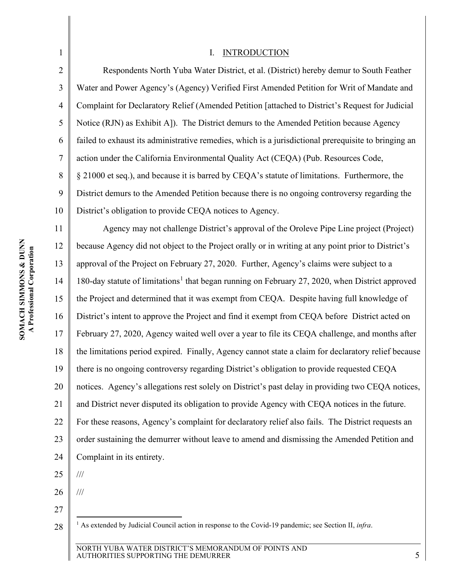<span id="page-4-2"></span>

| $\mathbf{1}$   | <b>INTRODUCTION</b><br>I.                                                                                        |
|----------------|------------------------------------------------------------------------------------------------------------------|
| $\overline{2}$ | Respondents North Yuba Water District, et al. (District) hereby demur to South Feather                           |
| 3              | Water and Power Agency's (Agency) Verified First Amended Petition for Writ of Mandate and                        |
| 4              | Complaint for Declaratory Relief (Amended Petition [attached to District's Request for Judicial                  |
| 5              | Notice (RJN) as Exhibit A]). The District demurs to the Amended Petition because Agency                          |
| 6              | failed to exhaust its administrative remedies, which is a jurisdictional prerequisite to bringing an             |
| $\tau$         | action under the California Environmental Quality Act (CEQA) (Pub. Resources Code,                               |
| 8              | § 21000 et seq.), and because it is barred by CEQA's statute of limitations. Furthermore, the                    |
| 9              | District demurs to the Amended Petition because there is no ongoing controversy regarding the                    |
| 10             | District's obligation to provide CEQA notices to Agency.                                                         |
| 11             | Agency may not challenge District's approval of the Oroleve Pipe Line project (Project)                          |
| 12             | because Agency did not object to the Project orally or in writing at any point prior to District's               |
| 13             | approval of the Project on February 27, 2020. Further, Agency's claims were subject to a                         |
| 14             | 180-day statute of limitations <sup>1</sup> that began running on February 27, 2020, when District approved      |
| 15             | the Project and determined that it was exempt from CEQA. Despite having full knowledge of                        |
| 16             | District's intent to approve the Project and find it exempt from CEQA before District acted on                   |
| 17             | February 27, 2020, Agency waited well over a year to file its CEQA challenge, and months after                   |
| 18             | the limitations period expired. Finally, Agency cannot state a claim for declaratory relief because              |
| 19             | there is no ongoing controversy regarding District's obligation to provide requested CEQA                        |
| 20             | notices. Agency's allegations rest solely on District's past delay in providing two CEQA notices,                |
| 21             | and District never disputed its obligation to provide Agency with CEQA notices in the future.                    |
| 22             | For these reasons, Agency's complaint for declaratory relief also fails. The District requests an                |
| 23             | order sustaining the demurrer without leave to amend and dismissing the Amended Petition and                     |
| 24             | Complaint in its entirety.                                                                                       |
| 25             | $/ \! / \! /$                                                                                                    |
| 26             | $\frac{1}{1}$                                                                                                    |
| 27             |                                                                                                                  |
| 28             | <sup>1</sup> As extended by Judicial Council action in response to the Covid-19 pandemic; see Section II, infra. |
|                | NORTH YUBA WATER DISTRICT'S MEMORANDUM OF POINTS AND                                                             |
|                | 5<br>AUTHORITIES SUPPORTING THE DEMURRER                                                                         |

<span id="page-4-1"></span><span id="page-4-0"></span>II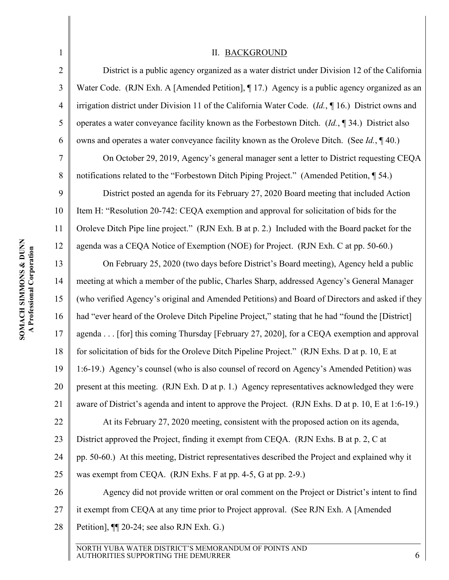<span id="page-5-3"></span><span id="page-5-2"></span><span id="page-5-1"></span><span id="page-5-0"></span>

| $\mathbf{1}$   | <b>II. BACKGROUND</b>                                                                                 |
|----------------|-------------------------------------------------------------------------------------------------------|
| $\overline{2}$ | District is a public agency organized as a water district under Division 12 of the California         |
| 3              | Water Code. (RJN Exh. A [Amended Petition], ¶ 17.) Agency is a public agency organized as an          |
| 4              | irrigation district under Division 11 of the California Water Code. (Id., $\P$ 16.) District owns and |
| 5              | operates a water conveyance facility known as the Forbestown Ditch. $(Id, \P 34)$ District also       |
| 6              | owns and operates a water conveyance facility known as the Oroleve Ditch. (See Id., 140.)             |
| $\tau$         | On October 29, 2019, Agency's general manager sent a letter to District requesting CEQA               |
| 8              | notifications related to the "Forbestown Ditch Piping Project." (Amended Petition, 154.)              |
| 9              | District posted an agenda for its February 27, 2020 Board meeting that included Action                |
| 10             | Item H: "Resolution 20-742: CEQA exemption and approval for solicitation of bids for the              |
| 11             | Oroleve Ditch Pipe line project." (RJN Exh. B at p. 2.) Included with the Board packet for the        |
| 12             | agenda was a CEQA Notice of Exemption (NOE) for Project. (RJN Exh. C at pp. 50-60.)                   |
| 13             | On February 25, 2020 (two days before District's Board meeting), Agency held a public                 |
| 14             | meeting at which a member of the public, Charles Sharp, addressed Agency's General Manager            |
| 15             | (who verified Agency's original and Amended Petitions) and Board of Directors and asked if they       |
| 16             | had "ever heard of the Oroleve Ditch Pipeline Project," stating that he had "found the [District]     |
| 17             | agenda [for] this coming Thursday [February 27, 2020], for a CEQA exemption and approval              |
| 18             | for solicitation of bids for the Oroleve Ditch Pipeline Project." (RJN Exhs. D at p. 10, E at         |
| 19             | 1:6-19.) Agency's counsel (who is also counsel of record on Agency's Amended Petition) was            |
| 20             | present at this meeting. (RJN Exh. D at p. 1.) Agency representatives acknowledged they were          |
| 21             | aware of District's agenda and intent to approve the Project. (RJN Exhs. D at p. 10, E at 1:6-19.)    |
| 22             | At its February 27, 2020 meeting, consistent with the proposed action on its agenda,                  |
| 23             | District approved the Project, finding it exempt from CEQA. (RJN Exhs. B at p. 2, C at                |
| 24             | pp. 50-60.) At this meeting, District representatives described the Project and explained why it      |
| 25             | was exempt from CEQA. (RJN Exhs. F at pp. 4-5, G at pp. 2-9.)                                         |
| 26             | Agency did not provide written or oral comment on the Project or District's intent to find            |
| 27             | it exempt from CEQA at any time prior to Project approval. (See RJN Exh. A [Amended]                  |
| 28             | Petition], $\P$ [20-24; see also RJN Exh. G.)                                                         |
|                |                                                                                                       |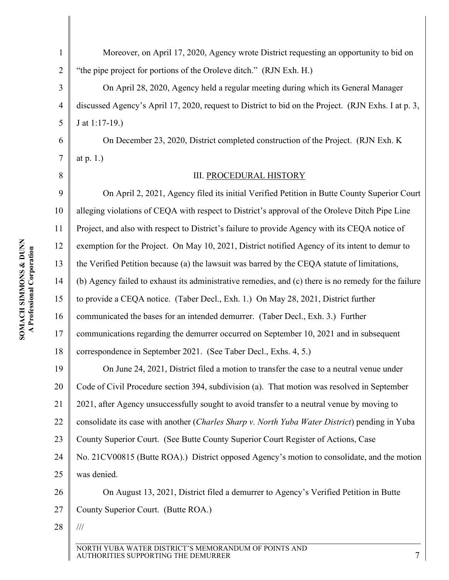7

<span id="page-6-0"></span>8

1 2 Moreover, on April 17, 2020, Agency wrote District requesting an opportunity to bid on "the pipe project for portions of the Oroleve ditch." (RJN Exh. H.)

3 4 5 On April 28, 2020, Agency held a regular meeting during which its General Manager discussed Agency's April 17, 2020, request to District to bid on the Project. (RJN Exhs. I at p. 3, J at 1:17-19.)

On December 23, 2020, District completed construction of the Project. (RJN Exh. K at p. 1.)

#### III. PROCEDURAL HISTORY

9 10 11 12 13 14 15 16 17 18 19 20 21 22 23 24 25 26 On April 2, 2021, Agency filed its initial Verified Petition in Butte County Superior Court alleging violations of CEQA with respect to District's approval of the Oroleve Ditch Pipe Line Project, and also with respect to District's failure to provide Agency with its CEQA notice of exemption for the Project. On May 10, 2021, District notified Agency of its intent to demur to the Verified Petition because (a) the lawsuit was barred by the CEQA statute of limitations, (b) Agency failed to exhaust its administrative remedies, and (c) there is no remedy for the failure to provide a CEQA notice. (Taber Decl., Exh. 1.) On May 28, 2021, District further communicated the bases for an intended demurrer. (Taber Decl., Exh. 3.) Further communications regarding the demurrer occurred on September 10, 2021 and in subsequent correspondence in September 2021. (See Taber Decl., Exhs. 4, 5.) On June 24, 2021, District filed a motion to transfer the case to a neutral venue under Code of Civil Procedure section 394, subdivision (a). That motion was resolved in September 2021, after Agency unsuccessfully sought to avoid transfer to a neutral venue by moving to consolidate its case with another (*Charles Sharp v. North Yuba Water District*) pending in Yuba County Superior Court. (See Butte County Superior Court Register of Actions, Case No. 21CV00815 (Butte ROA).) District opposed Agency's motion to consolidate, and the motion was denied. On August 13, 2021, District filed a demurrer to Agency's Verified Petition in Butte

<span id="page-6-1"></span>27 County Superior Court. (Butte ROA.)

28

///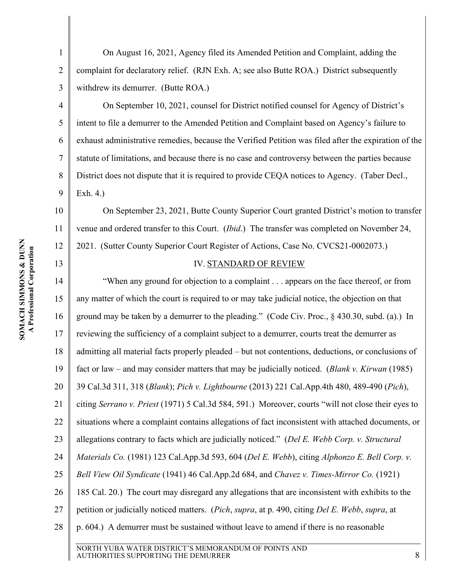2

3

4

5

6

7

8

9

<span id="page-7-0"></span>13

On August 16, 2021, Agency filed its Amended Petition and Complaint, adding the complaint for declaratory relief. (RJN Exh. A; see also Butte ROA.) District subsequently withdrew its demurrer. (Butte ROA.)

On September 10, 2021, counsel for District notified counsel for Agency of District's intent to file a demurrer to the Amended Petition and Complaint based on Agency's failure to exhaust administrative remedies, because the Verified Petition was filed after the expiration of the statute of limitations, and because there is no case and controversy between the parties because District does not dispute that it is required to provide CEQA notices to Agency. (Taber Decl., Exh. 4.)

10 11 12 On September 23, 2021, Butte County Superior Court granted District's motion to transfer venue and ordered transfer to this Court. (*Ibid*.) The transfer was completed on November 24, 2021. (Sutter County Superior Court Register of Actions, Case No. CVCS21-0002073.)

#### <span id="page-7-5"></span><span id="page-7-4"></span><span id="page-7-3"></span><span id="page-7-1"></span>IV. STANDARD OF REVIEW

14 15 16 17 18 19 20 21 22 23 24 25 26 27 28 "When any ground for objection to a complaint . . . appears on the face thereof, or from any matter of which the court is required to or may take judicial notice, the objection on that ground may be taken by a demurrer to the pleading." (Code Civ. Proc., § 430.30, subd. (a).) In reviewing the sufficiency of a complaint subject to a demurrer, courts treat the demurrer as admitting all material facts properly pleaded – but not contentions, deductions, or conclusions of fact or law – and may consider matters that may be judicially noticed. (*Blank v. Kirwan* (1985) 39 Cal.3d 311, 318 (*Blank*); *Pich v. Lightbourne* (2013) 221 Cal.App.4th 480, 489-490 (*Pich*), citing *Serrano v. Priest* (1971) 5 Cal.3d 584, 591.) Moreover, courts "will not close their eyes to situations where a complaint contains allegations of fact inconsistent with attached documents, or allegations contrary to facts which are judicially noticed." (*Del E. Webb Corp. v. Structural Materials Co.* (1981) 123 Cal.App.3d 593, 604 (*Del E. Webb*), citing *Alphonzo E. Bell Corp. v. Bell View Oil Syndicate* (1941) 46 Cal.App.2d 684, and *Chavez v. Times-Mirror Co.* (1921) 185 Cal. 20.) The court may disregard any allegations that are inconsistent with exhibits to the petition or judicially noticed matters. (*Pich*, *supra*, at p. 490, citing *Del E. Webb*, *supra*, at p. 604.) A demurrer must be sustained without leave to amend if there is no reasonable

<span id="page-7-2"></span>NORTH YUBA WATER DISTRICT'S MEMORANDUM OF POINTS AND AUTHORITIES SUPPORTING THE DEMURRER 8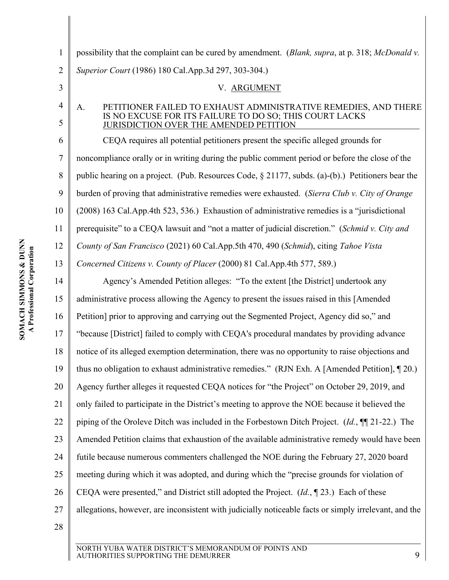<span id="page-8-3"></span><span id="page-8-2"></span><span id="page-8-1"></span><span id="page-8-0"></span>

| $\mathbf{1}$        | possibility that the complaint can be cured by amendment. (Blank, supra, at p. 318; McDonald v.                                                                            |
|---------------------|----------------------------------------------------------------------------------------------------------------------------------------------------------------------------|
| $\overline{2}$      | Superior Court (1986) 180 Cal.App.3d 297, 303-304.)                                                                                                                        |
| 3                   | V. ARGUMENT                                                                                                                                                                |
| $\overline{4}$<br>5 | PETITIONER FAILED TO EXHAUST ADMINISTRATIVE REMEDIES, AND THERE<br>A.<br>IS NO EXCUSE FOR ITS FAILURE TO DO SO; THIS COURT LACKS<br>JURISDICTION OVER THE AMENDED PETITION |
| 6                   | CEOA requires all potential petitioners present the specific alleged grounds for                                                                                           |
| 7                   | noncompliance orally or in writing during the public comment period or before the close of the                                                                             |
| 8                   | public hearing on a project. (Pub. Resources Code, § 21177, subds. (a)-(b).) Petitioners bear the                                                                          |
| 9                   | burden of proving that administrative remedies were exhausted. (Sierra Club v. City of Orange                                                                              |
| 10                  | (2008) 163 Cal.App.4th 523, 536.) Exhaustion of administrative remedies is a "jurisdictional                                                                               |
| 11                  | prerequisite" to a CEQA lawsuit and "not a matter of judicial discretion." (Schmid v. City and                                                                             |
| 12                  | County of San Francisco (2021) 60 Cal.App.5th 470, 490 (Schmid), citing Tahoe Vista                                                                                        |
| 13                  | Concerned Citizens v. County of Placer (2000) 81 Cal. App. 4th 577, 589.)                                                                                                  |
| 14                  | Agency's Amended Petition alleges: "To the extent [the District] undertook any                                                                                             |
| 15                  | administrative process allowing the Agency to present the issues raised in this [Amended]                                                                                  |
| 16                  | Petition] prior to approving and carrying out the Segmented Project, Agency did so," and                                                                                   |
| 17                  | "because [District] failed to comply with CEQA's procedural mandates by providing advance                                                                                  |
| 18                  | notice of its alleged exemption determination, there was no opportunity to raise objections and                                                                            |
| 19                  | thus no obligation to exhaust administrative remedies." (RJN Exh. A [Amended Petition], [20.)                                                                              |
| 20                  | Agency further alleges it requested CEQA notices for "the Project" on October 29, 2019, and                                                                                |
| 21                  | only failed to participate in the District's meeting to approve the NOE because it believed the                                                                            |
| 22                  | piping of the Oroleve Ditch was included in the Forbestown Ditch Project. ( <i>Id.</i> , $\P$ [21-22.) The                                                                 |
| 23                  | Amended Petition claims that exhaustion of the available administrative remedy would have been                                                                             |
| 24                  | futile because numerous commenters challenged the NOE during the February 27, 2020 board                                                                                   |
| 25                  | meeting during which it was adopted, and during which the "precise grounds for violation of                                                                                |
| 26                  | CEQA were presented," and District still adopted the Project. $(Id, \P 23)$ . Each of these                                                                                |
| 27                  | allegations, however, are inconsistent with judicially noticeable facts or simply irrelevant, and the                                                                      |
| 28                  |                                                                                                                                                                            |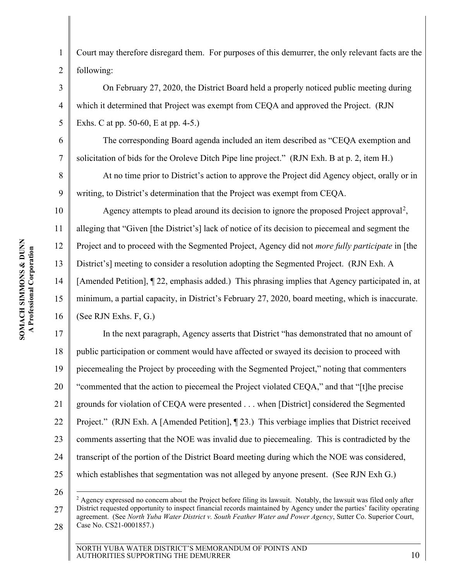4

5

6

7

8

9

1 2 Court may therefore disregard them. For purposes of this demurrer, the only relevant facts are the following:

On February 27, 2020, the District Board held a properly noticed public meeting during which it determined that Project was exempt from CEQA and approved the Project. (RJN Exhs. C at pp. 50-60, E at pp. 4-5.)

The corresponding Board agenda included an item described as "CEQA exemption and solicitation of bids for the Oroleve Ditch Pipe line project." (RJN Exh. B at p. 2, item H.)

At no time prior to District's action to approve the Project did Agency object, orally or in writing, to District's determination that the Project was exempt from CEQA.

10 11 12 13 14 15 16 Agency attempts to plead around its decision to ignore the proposed Project approval<sup>[2](#page-9-0)</sup>, alleging that "Given [the District's] lack of notice of its decision to piecemeal and segment the Project and to proceed with the Segmented Project, Agency did not *more fully participate* in [the District's] meeting to consider a resolution adopting the Segmented Project. (RJN Exh. A [Amended Petition], ¶ 22, emphasis added.) This phrasing implies that Agency participated in, at minimum, a partial capacity, in District's February 27, 2020, board meeting, which is inaccurate. (See RJN Exhs. F, G.)

17 18 19 20 21 22 23 24 25 In the next paragraph, Agency asserts that District "has demonstrated that no amount of public participation or comment would have affected or swayed its decision to proceed with piecemealing the Project by proceeding with the Segmented Project," noting that commenters "commented that the action to piecemeal the Project violated CEQA," and that "[t]he precise grounds for violation of CEQA were presented . . . when [District] considered the Segmented Project." (RJN Exh. A [Amended Petition], ¶ 23.) This verbiage implies that District received comments asserting that the NOE was invalid due to piecemealing. This is contradicted by the transcript of the portion of the District Board meeting during which the NOE was considered, which establishes that segmentation was not alleged by anyone present. (See RJN Exh G.)

26

<span id="page-9-0"></span><sup>27</sup> 28  $2$  Agency expressed no concern about the Project before filing its lawsuit. Notably, the lawsuit was filed only after District requested opportunity to inspect financial records maintained by Agency under the parties' facility operating agreement. (See *North Yuba Water District v. South Feather Water and Power Agency*, Sutter Co. Superior Court, Case No. CS21-0001857.)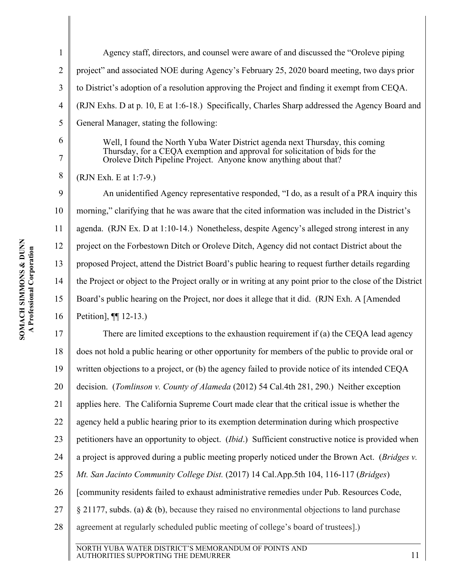| J            | ŗ         |
|--------------|-----------|
| ٦            | rat       |
| ð            | rpor<br>E |
| <b>MMONE</b> | Ξ         |
| F<br>į       |           |
| J<br>֧֓      |           |

1 2 3 4 5 Agency staff, directors, and counsel were aware of and discussed the "Oroleve piping project" and associated NOE during Agency's February 25, 2020 board meeting, two days prior to District's adoption of a resolution approving the Project and finding it exempt from CEQA. (RJN Exhs. D at p. 10, E at 1:6-18.) Specifically, Charles Sharp addressed the Agency Board and General Manager, stating the following:

> Well, I found the North Yuba Water District agenda next Thursday, this coming Thursday, for a CEQA exemption and approval for solicitation of bids for the Oroleve Ditch Pipeline Project. Anyone know anything about that?

8 (RJN Exh. E at 1:7-9.)

6

7

9 10 11 12 13 14 15 16 An unidentified Agency representative responded, "I do, as a result of a PRA inquiry this morning," clarifying that he was aware that the cited information was included in the District's agenda. (RJN Ex. D at 1:10-14.) Nonetheless, despite Agency's alleged strong interest in any project on the Forbestown Ditch or Oroleve Ditch, Agency did not contact District about the proposed Project, attend the District Board's public hearing to request further details regarding the Project or object to the Project orally or in writing at any point prior to the close of the District Board's public hearing on the Project, nor does it allege that it did. (RJN Exh. A [Amended Petition], ¶¶ 12-13.)

<span id="page-10-1"></span>17 18 19 20 21 22 23 24 25 26 27 28 There are limited exceptions to the exhaustion requirement if (a) the CEQA lead agency does not hold a public hearing or other opportunity for members of the public to provide oral or written objections to a project, or (b) the agency failed to provide notice of its intended CEQA decision. (*Tomlinson v. County of Alameda* (2012) 54 Cal.4th 281, 290.) Neither exception applies here. The California Supreme Court made clear that the critical issue is whether the agency held a public hearing prior to its exemption determination during which prospective petitioners have an opportunity to object. (*Ibid*.) Sufficient constructive notice is provided when a project is approved during a public meeting properly noticed under the Brown Act. (*Bridges v. Mt. San Jacinto Community College Dist.* (2017) 14 Cal.App.5th 104, 116-117 (*Bridges*) [community residents failed to exhaust administrative remedies under Pub. Resources Code, § 21177, subds. (a) & (b), because they raised no environmental objections to land purchase agreement at regularly scheduled public meeting of college's board of trustees].)

<span id="page-10-2"></span><span id="page-10-0"></span>NORTH YUBA WATER DISTRICT'S MEMORANDUM OF POINTS AND AUTHORITIES SUPPORTING THE DEMURRER 11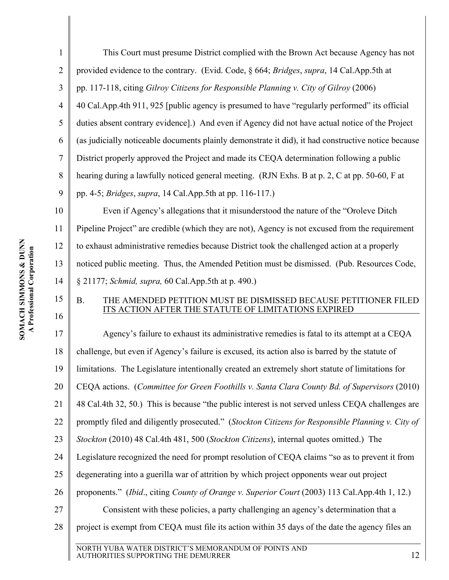<span id="page-11-5"></span><span id="page-11-1"></span>2

3 4 This Court must presume District complied with the Brown Act because Agency has not provided evidence to the contrary. (Evid. Code, § 664; *Bridges*, *supra*, 14 Cal.App.5th at pp. 117-118, citing *Gilroy Citizens for Responsible Planning v. City of Gilroy* (2006) 40 Cal.App.4th 911, 925 [public agency is presumed to have "regularly performed" its official duties absent contrary evidence].) And even if Agency did not have actual notice of the Project (as judicially noticeable documents plainly demonstrate it did), it had constructive notice because District properly approved the Project and made its CEQA determination following a public hearing during a lawfully noticed general meeting. (RJN Exhs. B at p. 2, C at pp. 50-60, F at pp. 4-5; *Bridges*, *supra*, 14 Cal.App.5th at pp. 116-117.)

Even if Agency's allegations that it misunderstood the nature of the "Oroleve Ditch Pipeline Project" are credible (which they are not), Agency is not excused from the requirement to exhaust administrative remedies because District took the challenged action at a properly noticed public meeting. Thus, the Amended Petition must be dismissed. (Pub. Resources Code, § 21177; *Schmid, supra,* 60 Cal.App.5th at p. 490.)

### <span id="page-11-6"></span><span id="page-11-3"></span><span id="page-11-0"></span>B. THE AMENDED PETITION MUST BE DISMISSED BECAUSE PETITIONER FILED ITS ACTION AFTER THE STATUTE OF LIMITATIONS EXPIRED

<span id="page-11-4"></span><span id="page-11-2"></span>17 18 19 20 21 22 23 24 25 26 27 28 Agency's failure to exhaust its administrative remedies is fatal to its attempt at a CEQA challenge, but even if Agency's failure is excused, its action also is barred by the statute of limitations. The Legislature intentionally created an extremely short statute of limitations for CEQA actions. (*Committee for Green Foothills v. Santa Clara County Bd. of Supervisors* (2010) 48 Cal.4th 32, 50.) This is because "the public interest is not served unless CEQA challenges are promptly filed and diligently prosecuted." (*Stockton Citizens for Responsible Planning v. City of Stockton* (2010) 48 Cal.4th 481, 500 (*Stockton Citizens*), internal quotes omitted.) The Legislature recognized the need for prompt resolution of CEQA claims "so as to prevent it from degenerating into a guerilla war of attrition by which project opponents wear out project proponents." (*Ibid*., citing *County of Orange v. Superior Court* (2003) 113 Cal.App.4th 1, 12.) Consistent with these policies, a party challenging an agency's determination that a project is exempt from CEQA must file its action within 35 days of the date the agency files an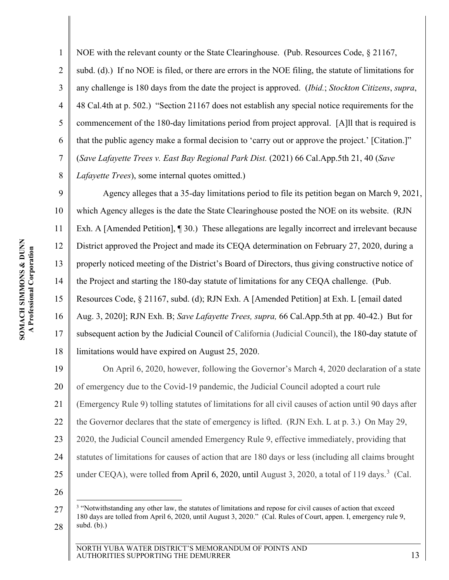<span id="page-12-5"></span><span id="page-12-4"></span><span id="page-12-1"></span>1 2 3 4 5 6 7 8 NOE with the relevant county or the State Clearinghouse. (Pub. Resources Code, § 21167, subd. (d).) If no NOE is filed, or there are errors in the NOE filing, the statute of limitations for any challenge is 180 days from the date the project is approved. (*Ibid.*; *Stockton Citizens*, *supra*, 48 Cal.4th at p. 502.) "Section 21167 does not establish any special notice requirements for the commencement of the 180-day limitations period from project approval. [A]ll that is required is that the public agency make a formal decision to 'carry out or approve the project.' [Citation.]" (*Save Lafayette Trees v. East Bay Regional Park Dist.* (2021) 66 Cal.App.5th 21, 40 (*Save Lafayette Trees*), some internal quotes omitted.)

<span id="page-12-0"></span>9 10 11 12 13 14 15 16 17 18 Agency alleges that a 35-day limitations period to file its petition began on March 9, 2021, which Agency alleges is the date the State Clearinghouse posted the NOE on its website. (RJN Exh. A [Amended Petition], [1] 30.) These allegations are legally incorrect and irrelevant because District approved the Project and made its CEQA determination on February 27, 2020, during a properly noticed meeting of the District's Board of Directors, thus giving constructive notice of the Project and starting the 180-day statute of limitations for any CEQA challenge. (Pub. Resources Code, § 21167, subd. (d); RJN Exh. A [Amended Petition] at Exh. L [email dated Aug. 3, 2020]; RJN Exh. B; *Save Lafayette Trees, supra,* 66 Cal.App.5th at pp. 40-42.) But for subsequent action by the Judicial Council of California (Judicial Council), the 180-day statute of limitations would have expired on August 25, 2020.

<span id="page-12-2"></span>19 20 21 22 23 24 25 On April 6, 2020, however, following the Governor's March 4, 2020 declaration of a state of emergency due to the Covid-19 pandemic, the Judicial Council adopted a court rule (Emergency Rule 9) tolling statutes of limitations for all civil causes of action until 90 days after the Governor declares that the state of emergency is lifted. (RJN Exh. L at p. 3.) On May 29, 2020, the Judicial Council amended Emergency Rule 9, effective immediately, providing that statutes of limitations for causes of action that are 180 days or less (including all claims brought under CEQA), were tolled from April 6, 2020, until August [3](#page-12-6), 2020, a total of 119 days.<sup>3</sup> (Cal.

26

<span id="page-12-6"></span><span id="page-12-3"></span><sup>27</sup> 28 <sup>3</sup> "Notwithstanding any other law, the statutes of limitations and repose for civil causes of action that exceed 180 days are tolled from April 6, 2020, until August 3, 2020." (Cal. Rules of Court, appen. I, emergency rule 9, subd. (b).)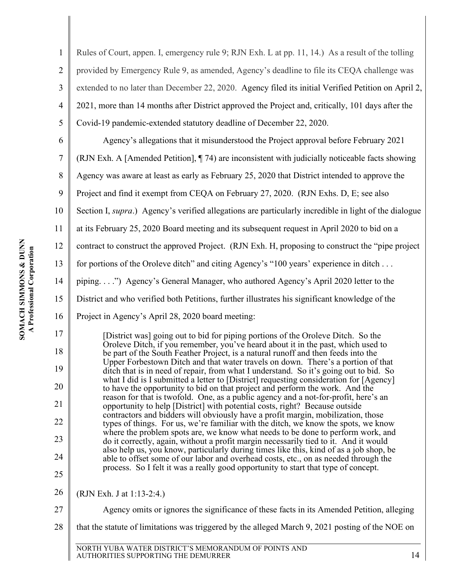28

<span id="page-13-0"></span>

| $\mathbf{1}$   | Rules of Court, appen. I, emergency rule 9; RJN Exh. L at pp. 11, 14.) As a result of the tolling                                                                             |
|----------------|-------------------------------------------------------------------------------------------------------------------------------------------------------------------------------|
| $\overline{2}$ | provided by Emergency Rule 9, as amended, Agency's deadline to file its CEQA challenge was                                                                                    |
| 3              | extended to no later than December 22, 2020. Agency filed its initial Verified Petition on April 2,                                                                           |
| $\overline{4}$ | 2021, more than 14 months after District approved the Project and, critically, 101 days after the                                                                             |
| 5              | Covid-19 pandemic-extended statutory deadline of December 22, 2020.                                                                                                           |
| 6              | Agency's allegations that it misunderstood the Project approval before February 2021                                                                                          |
| 7              | (RJN Exh. A [Amended Petition], 174) are inconsistent with judicially noticeable facts showing                                                                                |
| 8              | Agency was aware at least as early as February 25, 2020 that District intended to approve the                                                                                 |
| 9              | Project and find it exempt from CEQA on February 27, 2020. (RJN Exhs. D, E; see also                                                                                          |
| 10             | Section I, <i>supra</i> .) Agency's verified allegations are particularly incredible in light of the dialogue                                                                 |
| 11             | at its February 25, 2020 Board meeting and its subsequent request in April 2020 to bid on a                                                                                   |
| 12             | contract to construct the approved Project. (RJN Exh. H, proposing to construct the "pipe project"                                                                            |
| 13             | for portions of the Oroleve ditch" and citing Agency's "100 years' experience in ditch                                                                                        |
| 14             | piping") Agency's General Manager, who authored Agency's April 2020 letter to the                                                                                             |
| 15             | District and who verified both Petitions, further illustrates his significant knowledge of the                                                                                |
| 16             | Project in Agency's April 28, 2020 board meeting:                                                                                                                             |
| 17             | [District was] going out to bid for piping portions of the Oroleve Ditch. So the                                                                                              |
| 18             | Oroleve Ditch, if you remember, you've heard about it in the past, which used to<br>be part of the South Feather Project, is a natural runoff and then feeds into the         |
| 19             | Upper Forbestown Ditch and that water travels on down. There's a portion of that<br>ditch that is in need of repair, from what I understand. So it's going out to bid. So     |
| 20             | what I did is I submitted a letter to [District] requesting consideration for [Agency]<br>to have the opportunity to bid on that project and perform the work. And the        |
| 21             | reason for that is twofold. One, as a public agency and a not-for-profit, here's an<br>opportunity to help [District] with potential costs, right? Because outside            |
| 22             | contractors and bidders will obviously have a profit margin, mobilization, those<br>types of things. For us, we're familiar with the ditch, we know the spots, we know        |
| 23             | where the problem spots are, we know what needs to be done to perform work, and<br>do it correctly, again, without a profit margin necessarily tied to it. And it would       |
| 24             | also help us, you know, particularly during times like this, kind of as a job shop, be<br>able to offset some of our labor and overhead costs, etc., on as needed through the |
| 25             | process. So I felt it was a really good opportunity to start that type of concept.                                                                                            |
| 26             | (RJN Exh. J at 1:13-2:4.)                                                                                                                                                     |
|                |                                                                                                                                                                               |

that the statute of limitations was triggered by the alleged March 9, 2021 posting of the NOE on

Agency omits or ignores the significance of these facts in its Amended Petition, alleging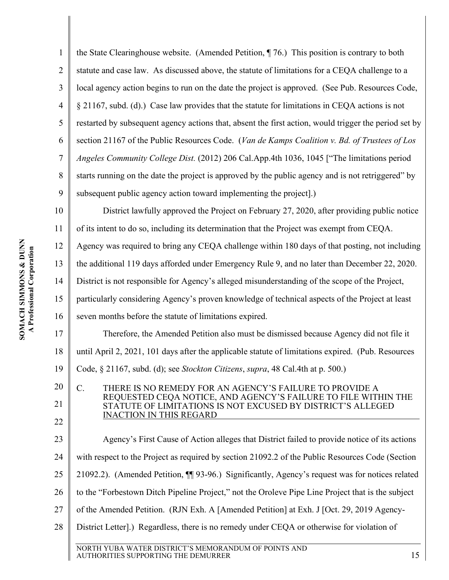21

22

<span id="page-14-6"></span><span id="page-14-5"></span><span id="page-14-2"></span>1 2 3 4 5 6 7 8 9 10 the State Clearinghouse website. (Amended Petition, ¶ 76.) This position is contrary to both statute and case law. As discussed above, the statute of limitations for a CEQA challenge to a local agency action begins to run on the date the project is approved. (See Pub. Resources Code, § 21167, subd. (d).) Case law provides that the statute for limitations in CEQA actions is not restarted by subsequent agency actions that, absent the first action, would trigger the period set by section 21167 of the Public Resources Code. (*Van de Kamps Coalition v. Bd. of Trustees of Los Angeles Community College Dist.* (2012) 206 Cal.App.4th 1036, 1045 ["The limitations period starts running on the date the project is approved by the public agency and is not retriggered" by subsequent public agency action toward implementing the project].) District lawfully approved the Project on February 27, 2020, after providing public notice

11 of its intent to do so, including its determination that the Project was exempt from CEQA.

12 Agency was required to bring any CEQA challenge within 180 days of that posting, not including

<span id="page-14-3"></span>13 the additional 119 days afforded under Emergency Rule 9, and no later than December 22, 2020.

14 District is not responsible for Agency's alleged misunderstanding of the scope of the Project,

15 particularly considering Agency's proven knowledge of technical aspects of the Project at least

16 seven months before the statute of limitations expired.

17 18 19 Therefore, the Amended Petition also must be dismissed because Agency did not file it until April 2, 2021, 101 days after the applicable statute of limitations expired. (Pub. Resources Code, § 21167, subd. (d); see *Stockton Citizens*, *supra*, 48 Cal.4th at p. 500.)

#### <span id="page-14-4"></span><span id="page-14-1"></span><span id="page-14-0"></span>C. THERE IS NO REMEDY FOR AN AGENCY'S FAILURE TO PROVIDE A REQUESTED CEQA NOTICE, AND AGENCY'S FAILURE TO FILE WITHIN THE STATUTE OF LIMITATIONS IS NOT EXCUSED BY DISTRICT'S ALLEGED INACTION IN THIS REGARD

23 24 25 26 27 28 Agency's First Cause of Action alleges that District failed to provide notice of its actions with respect to the Project as required by section 21092.2 of the Public Resources Code (Section 21092.2). (Amended Petition, ¶¶ 93-96.) Significantly, Agency's request was for notices related to the "Forbestown Ditch Pipeline Project," not the Oroleve Pipe Line Project that is the subject of the Amended Petition. (RJN Exh. A [Amended Petition] at Exh. J [Oct. 29, 2019 Agency-District Letter].) Regardless, there is no remedy under CEQA or otherwise for violation of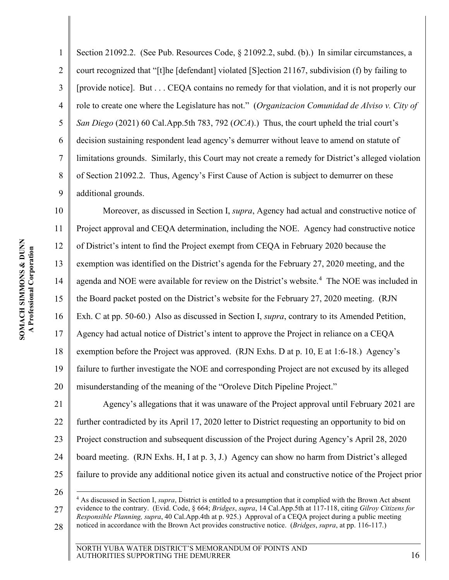<span id="page-15-4"></span><span id="page-15-3"></span><span id="page-15-1"></span>1 2 3 4 5 6 7 8 9 Section 21092.2. (See Pub. Resources Code, § 21092.2, subd. (b).) In similar circumstances, a court recognized that "[t]he [defendant] violated [S]ection 21167, subdivision (f) by failing to [provide notice]. But . . . CEQA contains no remedy for that violation, and it is not properly our role to create one where the Legislature has not." (*Organizacion Comunidad de Alviso v. City of San Diego* (2021) 60 Cal.App.5th 783, 792 (*OCA*).) Thus, the court upheld the trial court's decision sustaining respondent lead agency's demurrer without leave to amend on statute of limitations grounds. Similarly, this Court may not create a remedy for District's alleged violation of Section 21092.2. Thus, Agency's First Cause of Action is subject to demurrer on these additional grounds.

10 11 12 13 14 15 16 17 18 19 20 Moreover, as discussed in Section I, *supra*, Agency had actual and constructive notice of Project approval and CEQA determination, including the NOE. Agency had constructive notice of District's intent to find the Project exempt from CEQA in February 2020 because the exemption was identified on the District's agenda for the February 27, 2020 meeting, and the agenda and NOE were available for review on the District's website.<sup>[4](#page-15-5)</sup> The NOE was included in the Board packet posted on the District's website for the February 27, 2020 meeting. (RJN Exh. C at pp. 50-60.) Also as discussed in Section I, *supra*, contrary to its Amended Petition, Agency had actual notice of District's intent to approve the Project in reliance on a CEQA exemption before the Project was approved. (RJN Exhs. D at p. 10, E at 1:6-18.) Agency's failure to further investigate the NOE and corresponding Project are not excused by its alleged misunderstanding of the meaning of the "Oroleve Ditch Pipeline Project."

21 22 23 24 25 Agency's allegations that it was unaware of the Project approval until February 2021 are further contradicted by its April 17, 2020 letter to District requesting an opportunity to bid on Project construction and subsequent discussion of the Project during Agency's April 28, 2020 board meeting. (RJN Exhs. H, I at p. 3, J.) Agency can show no harm from District's alleged failure to provide any additional notice given its actual and constructive notice of the Project prior

26

<span id="page-15-5"></span><span id="page-15-2"></span><span id="page-15-0"></span>27 28 <sup>4</sup> As discussed in Section I, *supra*, District is entitled to a presumption that it complied with the Brown Act absent evidence to the contrary. (Evid. Code, § 664; *Bridges*, *supra*, 14 Cal.App.5th at 117-118, citing *Gilroy Citizens for Responsible Planning, supra*, 40 Cal.App.4th at p. 925.) Approval of a CEQA project during a public meeting noticed in accordance with the Brown Act provides constructive notice. (*Bridges*, *supra*, at pp. 116-117.)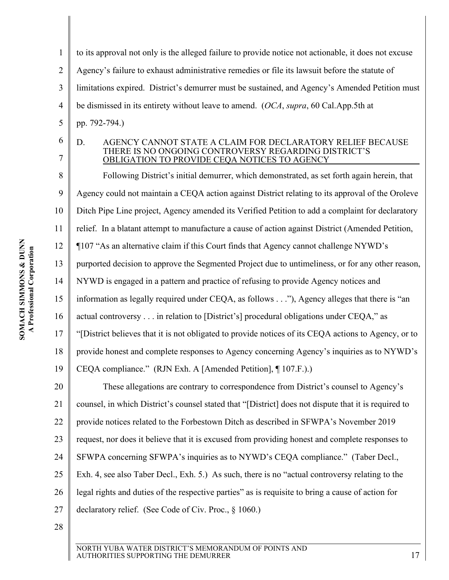<span id="page-16-2"></span><span id="page-16-1"></span><span id="page-16-0"></span>

| 1              | to its approval not only is the alleged failure to provide notice not actionable, it does not excuse                                                                     |
|----------------|--------------------------------------------------------------------------------------------------------------------------------------------------------------------------|
| $\overline{2}$ | Agency's failure to exhaust administrative remedies or file its lawsuit before the statute of                                                                            |
| 3              | limitations expired. District's demurrer must be sustained, and Agency's Amended Petition must                                                                           |
| $\overline{4}$ | be dismissed in its entirety without leave to amend. (OCA, supra, 60 Cal.App.5th at                                                                                      |
| 5              | pp. 792-794.)                                                                                                                                                            |
| 6<br>7         | AGENCY CANNOT STATE A CLAIM FOR DECLARATORY RELIEF BECAUSE<br>D.<br>THERE IS NO ONGOING CONTROVERSY REGARDING DISTRICT'S<br>OBLIGATION TO PROVIDE CEQA NOTICES TO AGENCY |
| 8              | Following District's initial demurrer, which demonstrated, as set forth again herein, that                                                                               |
| 9              | Agency could not maintain a CEQA action against District relating to its approval of the Oroleve                                                                         |
| 10             | Ditch Pipe Line project, Agency amended its Verified Petition to add a complaint for declaratory                                                                         |
| 11             | relief. In a blatant attempt to manufacture a cause of action against District (Amended Petition,                                                                        |
| 12             | ¶107 "As an alternative claim if this Court finds that Agency cannot challenge NYWD's                                                                                    |
| 13             | purported decision to approve the Segmented Project due to untimeliness, or for any other reason,                                                                        |
| 14             | NYWD is engaged in a pattern and practice of refusing to provide Agency notices and                                                                                      |
| 15             | information as legally required under CEQA, as follows"), Agency alleges that there is "an                                                                               |
| 16             | actual controversy in relation to [District's] procedural obligations under CEQA," as                                                                                    |
| 17             | "[District believes that it is not obligated to provide notices of its CEQA actions to Agency, or to                                                                     |
| 18             | provide honest and complete responses to Agency concerning Agency's inquiries as to NYWD's                                                                               |
| 19             | CEQA compliance." (RJN Exh. A [Amended Petition], ¶ 107.F.).)                                                                                                            |
| 20             | These allegations are contrary to correspondence from District's counsel to Agency's                                                                                     |
| 21             | counsel, in which District's counsel stated that "[District] does not dispute that it is required to                                                                     |
| 22             | provide notices related to the Forbestown Ditch as described in SFWPA's November 2019                                                                                    |
| 23             | request, nor does it believe that it is excused from providing honest and complete responses to                                                                          |
| 24             | SFWPA concerning SFWPA's inquiries as to NYWD's CEQA compliance." (Taber Decl.,                                                                                          |
| 25             | Exh. 4, see also Taber Decl., Exh. 5.) As such, there is no "actual controversy relating to the                                                                          |
| 26             | legal rights and duties of the respective parties" as is requisite to bring a cause of action for                                                                        |
| 27             | declaratory relief. (See Code of Civ. Proc., § 1060.)                                                                                                                    |
| 28             |                                                                                                                                                                          |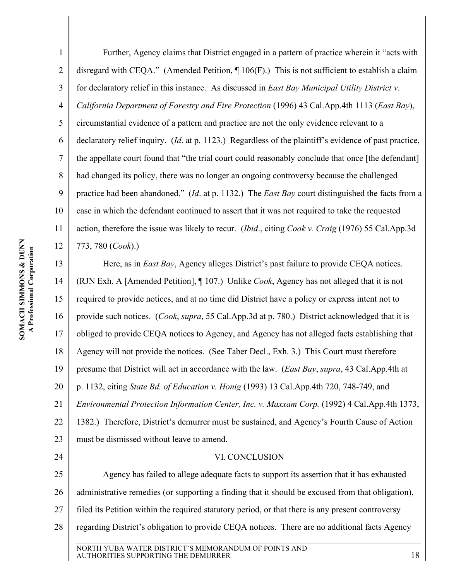<span id="page-17-2"></span>1 2 3 4 5 6 7 8 9 10 11 12 Further, Agency claims that District engaged in a pattern of practice wherein it "acts with disregard with CEQA." (Amended Petition, ¶ 106(F).) This is not sufficient to establish a claim for declaratory relief in this instance. As discussed in *East Bay Municipal Utility District v. California Department of Forestry and Fire Protection* (1996) 43 Cal.App.4th 1113 (*East Bay*), circumstantial evidence of a pattern and practice are not the only evidence relevant to a declaratory relief inquiry. (*Id*. at p. 1123.) Regardless of the plaintiff's evidence of past practice, the appellate court found that "the trial court could reasonably conclude that once [the defendant] had changed its policy, there was no longer an ongoing controversy because the challenged practice had been abandoned." (*Id*. at p. 1132.) The *East Bay* court distinguished the facts from a case in which the defendant continued to assert that it was not required to take the requested action, therefore the issue was likely to recur. (*Ibid*., citing *Cook v. Craig* (1976) 55 Cal.App.3d 773, 780 (*Cook*).)

<span id="page-17-4"></span>13 14 15 16 17 18 19 20 21 22 23 Here, as in *East Bay*, Agency alleges District's past failure to provide CEQA notices. (RJN Exh. A [Amended Petition], ¶ 107.) Unlike *Cook*, Agency has not alleged that it is not required to provide notices, and at no time did District have a policy or express intent not to provide such notices. (*Cook*, *supra*, 55 Cal.App.3d at p. 780.) District acknowledged that it is obliged to provide CEQA notices to Agency, and Agency has not alleged facts establishing that Agency will not provide the notices. (See Taber Decl., Exh. 3.) This Court must therefore presume that District will act in accordance with the law. (*East Bay*, *supra*, 43 Cal.App.4th at p. 1132, citing *State Bd. of Education v. Honig* (1993) 13 Cal.App.4th 720, 748-749, and *Environmental Protection Information Center, Inc. v. Maxxam Corp.* (1992) 4 Cal.App.4th 1373, 1382.) Therefore, District's demurrer must be sustained, and Agency's Fourth Cause of Action must be dismissed without leave to amend.

#### <span id="page-17-1"></span>VI. CONCLUSION

<span id="page-17-3"></span><span id="page-17-0"></span>25 26 27 28 Agency has failed to allege adequate facts to support its assertion that it has exhausted administrative remedies (or supporting a finding that it should be excused from that obligation), filed its Petition within the required statutory period, or that there is any present controversy regarding District's obligation to provide CEQA notices. There are no additional facts Agency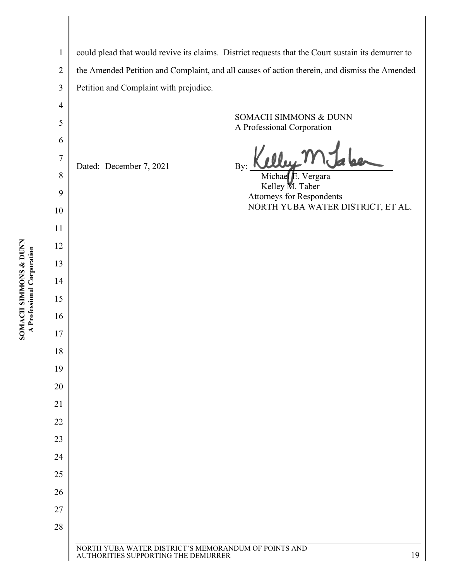| $\mathbf{1}$   |                                                                                             | could plead that would revive its claims. District requests that the Court sustain its demurrer to |
|----------------|---------------------------------------------------------------------------------------------|----------------------------------------------------------------------------------------------------|
| $\overline{2}$ |                                                                                             | the Amended Petition and Complaint, and all causes of action therein, and dismiss the Amended      |
| 3              | Petition and Complaint with prejudice.                                                      |                                                                                                    |
| $\overline{4}$ |                                                                                             |                                                                                                    |
| 5              |                                                                                             | SOMACH SIMMONS & DUNN<br>A Professional Corporation                                                |
| 6              |                                                                                             |                                                                                                    |
| $\overline{7}$ | Dated: December 7, 2021                                                                     | By:                                                                                                |
| 8              |                                                                                             | Michael E. Vergara<br>Kelley M. Taber                                                              |
| 9              |                                                                                             | <b>Attorneys for Respondents</b>                                                                   |
| 10             |                                                                                             | NORTH YUBA WATER DISTRICT, ET AL.                                                                  |
| 11             |                                                                                             |                                                                                                    |
| 12             |                                                                                             |                                                                                                    |
| 13             |                                                                                             |                                                                                                    |
| 14             |                                                                                             |                                                                                                    |
| 15             |                                                                                             |                                                                                                    |
| 16             |                                                                                             |                                                                                                    |
| 17             |                                                                                             |                                                                                                    |
| 18             |                                                                                             |                                                                                                    |
| 19             |                                                                                             |                                                                                                    |
| 20             |                                                                                             |                                                                                                    |
| 21             |                                                                                             |                                                                                                    |
| 22             |                                                                                             |                                                                                                    |
| 23             |                                                                                             |                                                                                                    |
| 24             |                                                                                             |                                                                                                    |
| 25             |                                                                                             |                                                                                                    |
| 26             |                                                                                             |                                                                                                    |
| 27             |                                                                                             |                                                                                                    |
| 28             |                                                                                             |                                                                                                    |
|                | NORTH YUBA WATER DISTRICT'S MEMORANDUM OF POINTS AND<br>AUTHORITIES SUPPORTING THE DEMURRER | 19                                                                                                 |